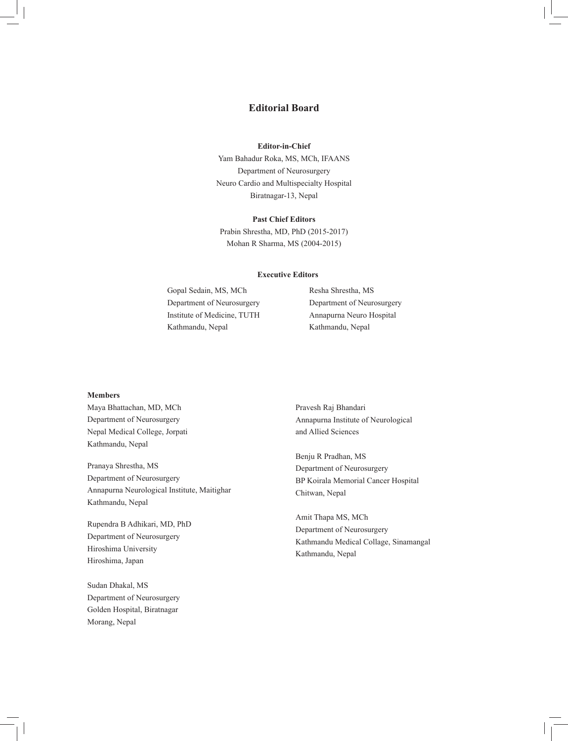# **Editorial Board**

### **Editor-in-Chief**

Yam Bahadur Roka, MS, MCh, IFAANS Department of Neurosurgery Neuro Cardio and Multispecialty Hospital Biratnagar-13, Nepal

**Past Chief Editors** Prabin Shrestha, MD, PhD (2015-2017) Mohan R Sharma, MS (2004-2015)

#### **Executive Editors**

Gopal Sedain, MS, MCh Department of Neurosurgery Institute of Medicine, TUTH Kathmandu, Nepal

Resha Shrestha, MS Department of Neurosurgery Annapurna Neuro Hospital Kathmandu, Nepal

#### **Members**

Maya Bhattachan, MD, MCh Department of Neurosurgery Nepal Medical College, Jorpati Kathmandu, Nepal

Pranaya Shrestha, MS Department of Neurosurgery Annapurna Neurological Institute, Maitighar Kathmandu, Nepal

Rupendra B Adhikari, MD, PhD Department of Neurosurgery Hiroshima University Hiroshima, Japan

Sudan Dhakal, MS Department of Neurosurgery Golden Hospital, Biratnagar Morang, Nepal

Pravesh Raj Bhandari Annapurna Institute of Neurological and Allied Sciences

Benju R Pradhan, MS Department of Neurosurgery BP Koirala Memorial Cancer Hospital Chitwan, Nepal

Amit Thapa MS, MCh Department of Neurosurgery Kathmandu Medical Collage, Sinamangal Kathmandu, Nepal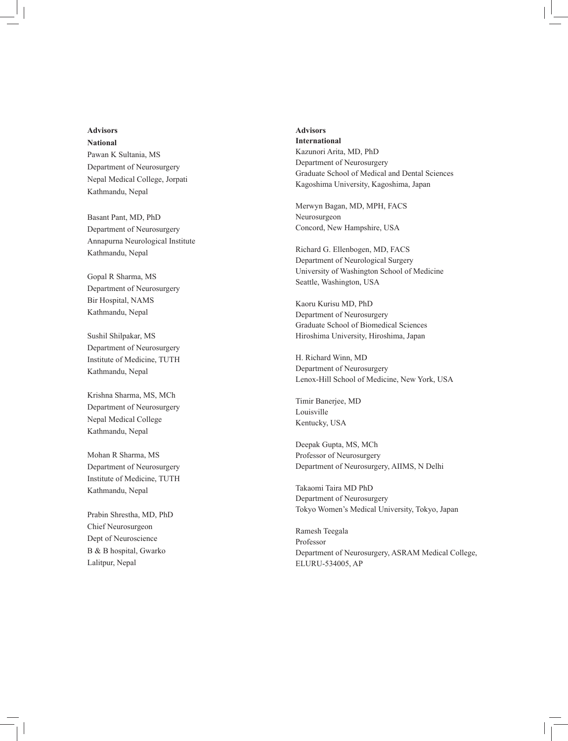# **Advisors**

**National** Pawan K Sultania, MS Department of Neurosurgery Nepal Medical College, Jorpati Kathmandu, Nepal

Basant Pant, MD, PhD Department of Neurosurgery Annapurna Neurological Institute Kathmandu, Nepal

Gopal R Sharma, MS Department of Neurosurgery Bir Hospital, NAMS Kathmandu, Nepal

Sushil Shilpakar, MS Department of Neurosurgery Institute of Medicine, TUTH Kathmandu, Nepal

Krishna Sharma, MS, MCh Department of Neurosurgery Nepal Medical College Kathmandu, Nepal

Mohan R Sharma, MS Department of Neurosurgery Institute of Medicine, TUTH Kathmandu, Nepal

Prabin Shrestha, MD, PhD Chief Neurosurgeon Dept of Neuroscience B & B hospital, Gwarko Lalitpur, Nepal

**Advisors International** Kazunori Arita, MD, PhD Department of Neurosurgery Graduate School of Medical and Dental Sciences Kagoshima University, Kagoshima, Japan

Merwyn Bagan, MD, MPH, FACS Neurosurgeon Concord, New Hampshire, USA

Richard G. Ellenbogen, MD, FACS Department of Neurological Surgery University of Washington School of Medicine Seattle, Washington, USA

Kaoru Kurisu MD, PhD Department of Neurosurgery Graduate School of Biomedical Sciences Hiroshima University, Hiroshima, Japan

H. Richard Winn, MD Department of Neurosurgery Lenox-Hill School of Medicine, New York, USA

Timir Banerjee, MD Louisville Kentucky, USA

Deepak Gupta, MS, MCh Professor of Neurosurgery Department of Neurosurgery, AIIMS, N Delhi

Takaomi Taira MD PhD Department of Neurosurgery Tokyo Women's Medical University, Tokyo, Japan

Ramesh Teegala Professor Department of Neurosurgery, ASRAM Medical College, ELURU-534005, AP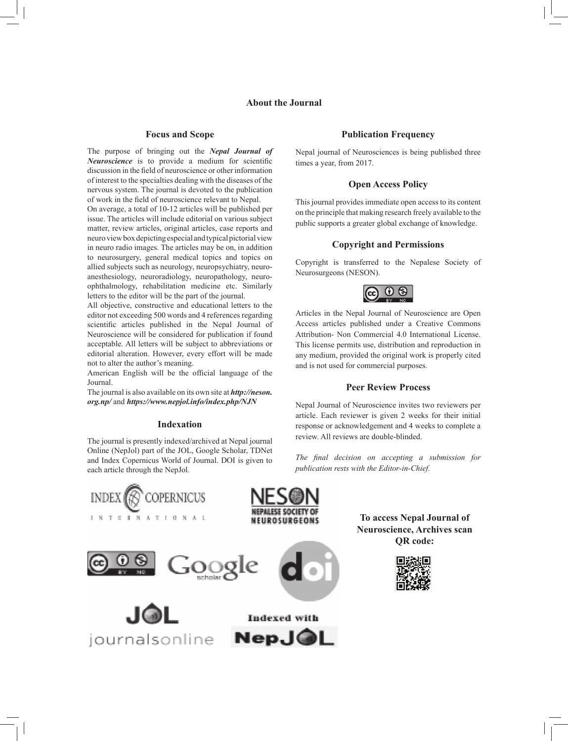#### **About the Journal**

#### **Focus and Scope**

The purpose of bringing out the *Nepal Journal of Neuroscience* is to provide a medium for scientific discussion in the field of neuroscience or other information of interest to the specialties dealing with the diseases of the nervous system. The journal is devoted to the publication of work in the field of neuroscience relevant to Nepal.

On average, a total of 10-12 articles will be published per issue. The articles will include editorial on various subject matter, review articles, original articles, case reports and neuro view box depicting especial and typical pictorial view in neuro radio images. The articles may be on, in addition to neurosurgery, general medical topics and topics on allied subjects such as neurology, neuropsychiatry, neuroanesthesiology, neuroradiology, neuropathology, neuroophthalmology, rehabilitation medicine etc. Similarly letters to the editor will be the part of the journal.

All objective, constructive and educational letters to the editor not exceeding 500 words and 4 references regarding scientific articles published in the Nepal Journal of Neuroscience will be considered for publication if found acceptable. All letters will be subject to abbreviations or editorial alteration. However, every effort will be made not to alter the author's meaning.

American English will be the official language of the Journal.

The journal is also available on its own site at *http://neson. org.np/* and *https://www.nepjol.info/index.php/NJN*

#### **Indexation**

The journal is presently indexed/archived at Nepal journal Online (NepJol) part of the JOL, Google Scholar, TDNet and Index Copernicus World of Journal. DOI is given to each article through the NepJol.

#### **Publication Frequency**

Nepal journal of Neurosciences is being published three times a year, from 2017.

#### **Open Access Policy**

This journal provides immediate open access to its content on the principle that making research freely available to the public supports a greater global exchange of knowledge.

#### **Copyright and Permissions**

Copyright is transferred to the Nepalese Society of Neurosurgeons (NESON).



Articles in the Nepal Journal of Neuroscience are Open Access articles published under a Creative Commons Attribution- Non Commercial 4.0 International License. This license permits use, distribution and reproduction in any medium, provided the original work is properly cited and is not used for commercial purposes.

#### **Peer Review Process**

Nepal Journal of Neuroscience invites two reviewers per article. Each reviewer is given 2 weeks for their initial response or acknowledgement and 4 weeks to complete a review. All reviews are double-blinded.

The final decision on accepting a submission for *publication rests with the Editor-in-Chief.*



**To access Nepal Journal of Neuroscience, Archives scan QR code:**

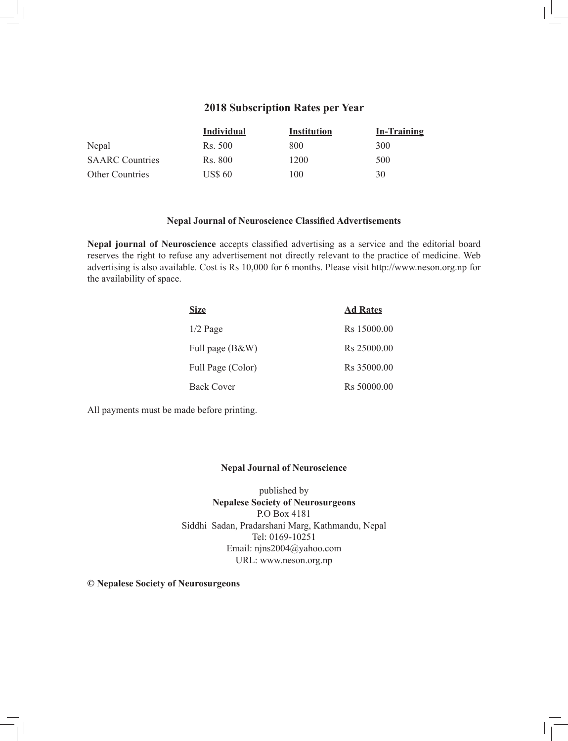# **2018 Subscription Rates per Year**

|                        | Individual     | Institution | <b>In-Training</b> |
|------------------------|----------------|-------------|--------------------|
| Nepal                  | Rs. 500        | 800         | 300                |
| <b>SAARC</b> Countries | Rs. 800        | 1200        | 500                |
| <b>Other Countries</b> | <b>US\$ 60</b> | 100         | 30                 |

## **Nepal Journal of Neuroscience Classified Advertisements**

Nepal journal of Neuroscience accepts classified advertising as a service and the editorial board reserves the right to refuse any advertisement not directly relevant to the practice of medicine. Web advertising is also available. Cost is Rs 10,000 for 6 months. Please visit http://www.neson.org.np for the availability of space.

| <b>Size</b>       | <b>Ad Rates</b> |
|-------------------|-----------------|
| $1/2$ Page        | Rs 15000.00     |
| Full page (B&W)   | Rs 25000.00     |
| Full Page (Color) | Rs 35000.00     |
| <b>Back Cover</b> | Rs 50000.00     |

All payments must be made before printing.

### **Nepal Journal of Neuroscience**

published by **Nepalese Society of Neurosurgeons** P.O Box 4181 Siddhi Sadan, Pradarshani Marg, Kathmandu, Nepal Tel: 0169-10251 Email: njns2004@yahoo.com URL: www.neson.org.np

**© Nepalese Society of Neurosurgeons**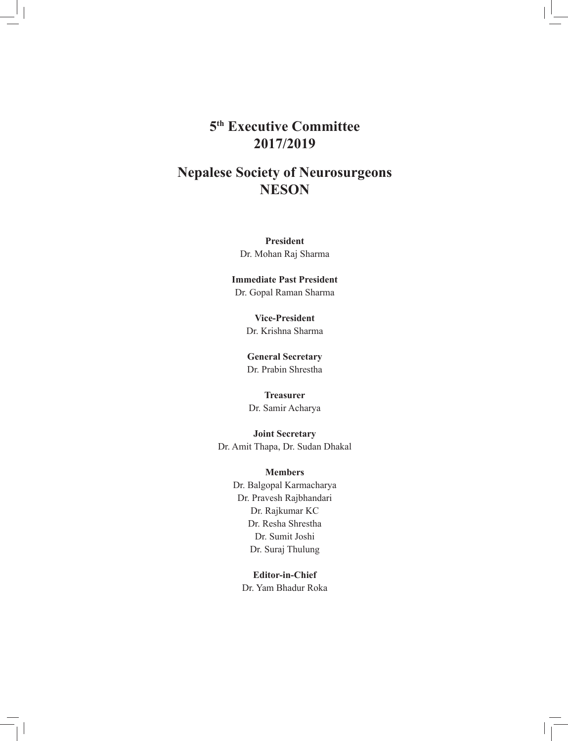# **5th Executive Committee 2017/2019**

# **Nepalese Society of Neurosurgeons NESON**

**President** Dr. Mohan Raj Sharma

# **Immediate Past President**

Dr. Gopal Raman Sharma

**Vice-President** Dr. Krishna Sharma

**General Secretary** Dr. Prabin Shrestha

**Treasurer** Dr. Samir Acharya

**Joint Secretary** Dr. Amit Thapa, Dr. Sudan Dhakal

> **Members** Dr. Balgopal Karmacharya Dr. Pravesh Rajbhandari Dr. Rajkumar KC Dr. Resha Shrestha Dr. Sumit Joshi Dr. Suraj Thulung

**Editor-in-Chief** Dr. Yam Bhadur Roka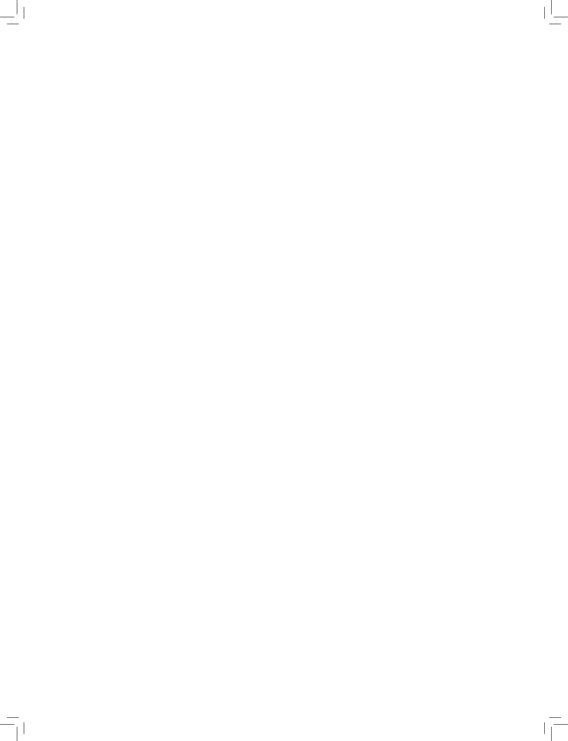$\frac{1}{2}$  $\frac{1}{\sqrt{1-\frac{1}{2}}}$ 

 $\frac{1}{\sqrt{1-\frac{1}{2}}}$ 

 $\frac{1}{\sqrt{1}}$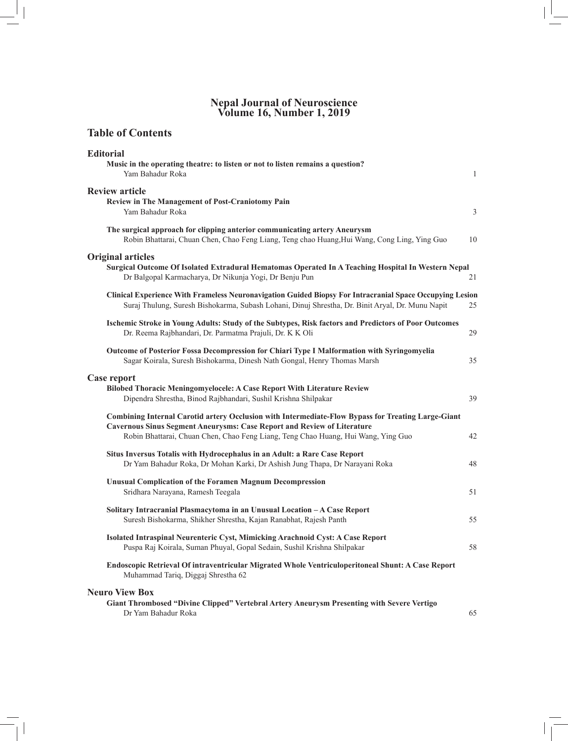# **Nepal Journal of Neuroscience Volume 16, Number 1, 2019**

# **Table of Contents**

| <b>Editorial</b><br>Music in the operating theatre: to listen or not to listen remains a question?<br>Yam Bahadur Roka                                                                                                                                                    | $\mathbf{1}$ |
|---------------------------------------------------------------------------------------------------------------------------------------------------------------------------------------------------------------------------------------------------------------------------|--------------|
| <b>Review article</b><br>Review in The Management of Post-Craniotomy Pain<br>Yam Bahadur Roka                                                                                                                                                                             | 3            |
| The surgical approach for clipping anterior communicating artery Aneurysm<br>Robin Bhattarai, Chuan Chen, Chao Feng Liang, Teng chao Huang, Hui Wang, Cong Ling, Ying Guo                                                                                                 | 10           |
| <b>Original articles</b><br>Surgical Outcome Of Isolated Extradural Hematomas Operated In A Teaching Hospital In Western Nepal<br>Dr Balgopal Karmacharya, Dr Nikunja Yogi, Dr Benju Pun                                                                                  | 21           |
| Clinical Experience With Frameless Neuronavigation Guided Biopsy For Intracranial Space Occupying Lesion<br>Suraj Thulung, Suresh Bishokarma, Subash Lohani, Dinuj Shrestha, Dr. Binit Aryal, Dr. Munu Napit                                                              | 25           |
| Ischemic Stroke in Young Adults: Study of the Subtypes, Risk factors and Predictors of Poor Outcomes<br>Dr. Reema Rajbhandari, Dr. Parmatma Prajuli, Dr. K K Oli                                                                                                          | 29           |
| Outcome of Posterior Fossa Decompression for Chiari Type I Malformation with Syringomyelia<br>Sagar Koirala, Suresh Bishokarma, Dinesh Nath Gongal, Henry Thomas Marsh                                                                                                    | 35           |
| Case report<br>Bilobed Thoracic Meningomyelocele: A Case Report With Literature Review<br>Dipendra Shrestha, Binod Rajbhandari, Sushil Krishna Shilpakar                                                                                                                  | 39           |
| Combining Internal Carotid artery Occlusion with Intermediate-Flow Bypass for Treating Large-Giant<br><b>Cavernous Sinus Segment Aneurysms: Case Report and Review of Literature</b><br>Robin Bhattarai, Chuan Chen, Chao Feng Liang, Teng Chao Huang, Hui Wang, Ying Guo | 42           |
| Situs Inversus Totalis with Hydrocephalus in an Adult: a Rare Case Report<br>Dr Yam Bahadur Roka, Dr Mohan Karki, Dr Ashish Jung Thapa, Dr Narayani Roka                                                                                                                  | 48           |
| <b>Unusual Complication of the Foramen Magnum Decompression</b><br>Sridhara Narayana, Ramesh Teegala                                                                                                                                                                      | 51           |
| Solitary Intracranial Plasmacytoma in an Unusual Location - A Case Report<br>Suresh Bishokarma, Shikher Shrestha, Kajan Ranabhat, Rajesh Panth                                                                                                                            | 55           |
| Isolated Intraspinal Neurenteric Cyst, Mimicking Arachnoid Cyst: A Case Report<br>Puspa Raj Koirala, Suman Phuyal, Gopal Sedain, Sushil Krishna Shilpakar                                                                                                                 | 58           |
| Endoscopic Retrieval Of intraventricular Migrated Whole Ventriculoperitoneal Shunt: A Case Report<br>Muhammad Tariq, Diggaj Shrestha 62                                                                                                                                   |              |
| <b>Neuro View Box</b><br>Giant Thrombosed "Divine Clipped" Vertebral Artery Aneurysm Presenting with Severe Vertigo<br>Dr Yam Bahadur Roka                                                                                                                                | 65           |